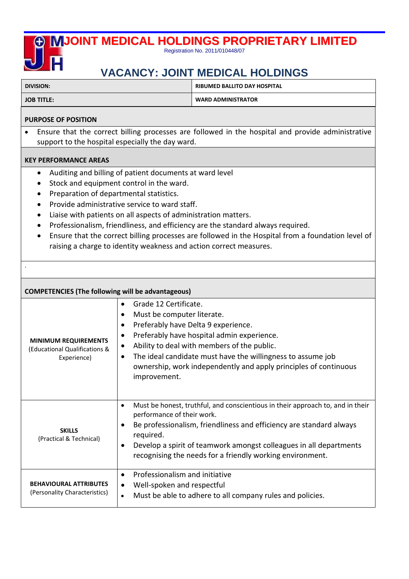

## **VACANCY: JOINT MEDICAL HOLDINGS**

**DIVISION: RIBUMED BALLITO DAY HOSPITAL** 

.

**JOB TITLE: WARD ADMINISTRATOR** 

## **PURPOSE OF POSITION**

• Ensure that the correct billing processes are followed in the hospital and provide administrative support to the hospital especially the day ward.

## **KEY PERFORMANCE AREAS**

- Auditing and billing of patient documents at ward level
- Stock and equipment control in the ward.
- Preparation of departmental statistics.
- Provide administrative service to ward staff.
- Liaise with patients on all aspects of administration matters.
- Professionalism, friendliness, and efficiency are the standard always required.
- Ensure that the correct billing processes are followed in the Hospital from a foundation level of raising a charge to identity weakness and action correct measures.

| <b>COMPETENCIES (The following will be advantageous)</b>                    |                                                                                                                                                                                                                                                                                                                                                                                                                          |
|-----------------------------------------------------------------------------|--------------------------------------------------------------------------------------------------------------------------------------------------------------------------------------------------------------------------------------------------------------------------------------------------------------------------------------------------------------------------------------------------------------------------|
| <b>MINIMUM REQUIREMENTS</b><br>(Educational Qualifications &<br>Experience) | Grade 12 Certificate.<br>$\bullet$<br>Must be computer literate.<br>$\bullet$<br>Preferably have Delta 9 experience.<br>$\bullet$<br>Preferably have hospital admin experience.<br>$\bullet$<br>Ability to deal with members of the public.<br>$\bullet$<br>The ideal candidate must have the willingness to assume job<br>$\bullet$<br>ownership, work independently and apply principles of continuous<br>improvement. |
| <b>SKILLS</b><br>(Practical & Technical)                                    | Must be honest, truthful, and conscientious in their approach to, and in their<br>$\bullet$<br>performance of their work.<br>Be professionalism, friendliness and efficiency are standard always<br>$\bullet$<br>required.<br>Develop a spirit of teamwork amongst colleagues in all departments<br>$\bullet$<br>recognising the needs for a friendly working environment.                                               |
| <b>BEHAVIOURAL ATTRIBUTES</b><br>(Personality Characteristics)              | Professionalism and initiative<br>$\bullet$<br>Well-spoken and respectful<br>$\bullet$<br>Must be able to adhere to all company rules and policies.<br>$\bullet$                                                                                                                                                                                                                                                         |